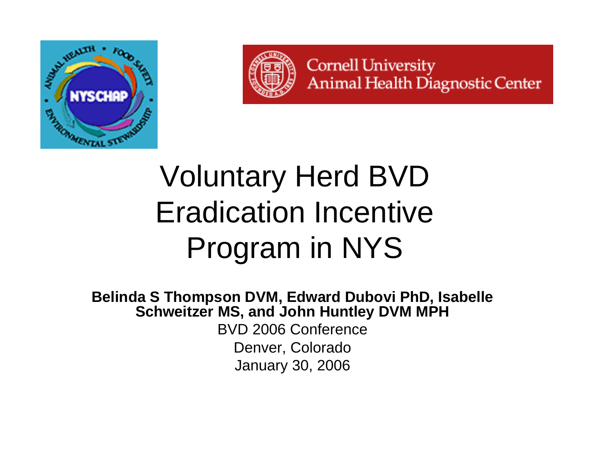



**Cornell University Animal Health Diagnostic Center** 

### Voluntary Herd BVD Eradication Incentive Program in NYS

**Belinda S Thompson DVM, Edward Dubovi PhD, Isabelle Schweitzer MS, and John Huntley DVM MPH**

BVD 2006 Conference Denver, Colorado January 30, 2006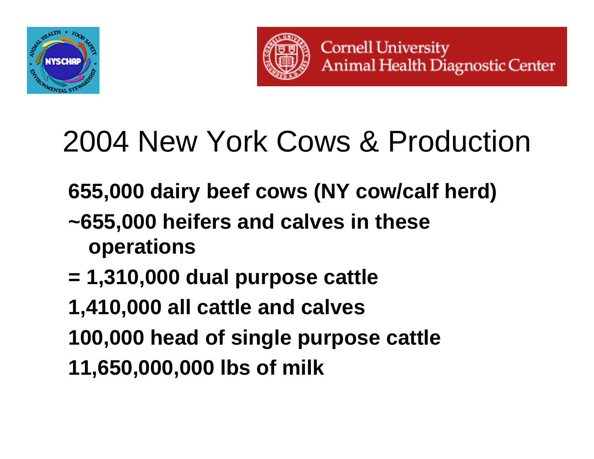



## 2004 New York Cows & Production

- **655,000 dairy beef cows (NY cow/calf herd) ~655,000 heifers and calves in these operations**
- **= 1,310,000 dual purpose cattle**
- **1,410,000 all cattle and calves**
- **100,000 head of single purpose cattle**
- **11,650,000,000 lbs of milk**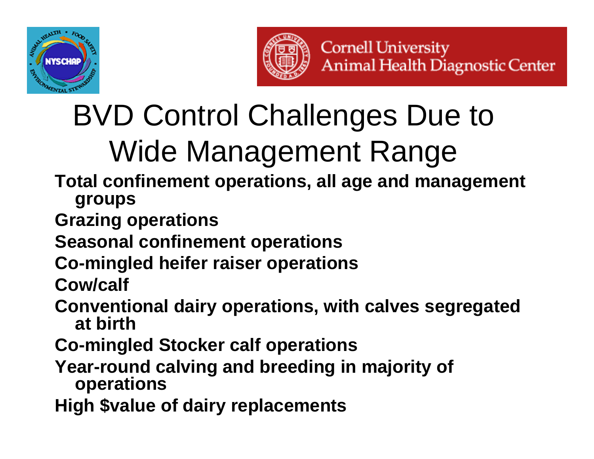



# BVD Control Challenges Due to Wide Management Range

- **Total confinement operations, all age and management groups**
- **Grazing operations**
- **Seasonal confinement operations**
- **Co-mingled heifer raiser operations**
- **Cow/calf**
- **Conventional dairy operations, with calves segregated at birth**
- **Co-mingled Stocker calf operations**
- **Year-round calving and breeding in majority of operations**
- **High \$value of dairy replacements**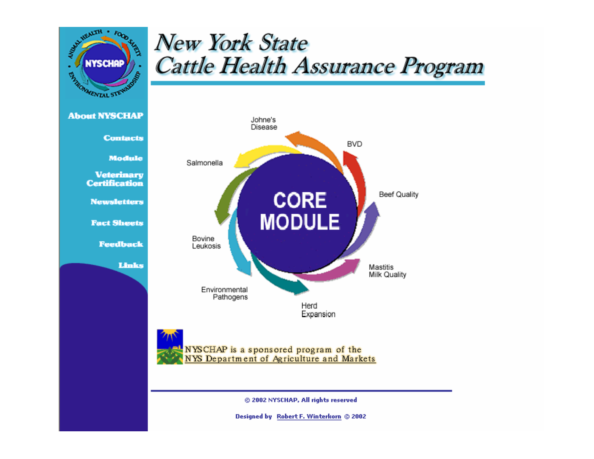

### **New York State Cattle Health Assurance Program**



@ 2002 NYSCHAP, All rights reserved

Designed by Robert F. Winterkorn © 2002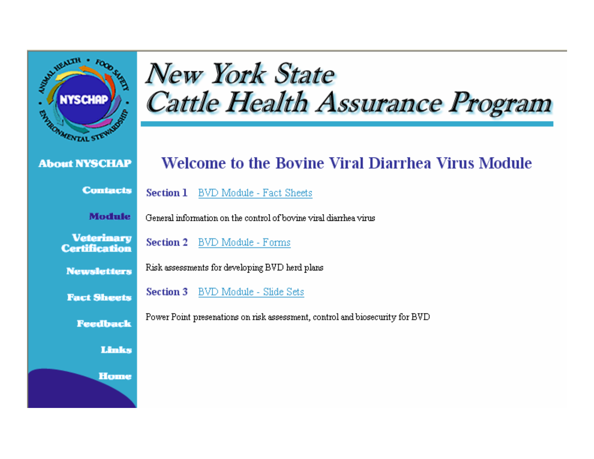

### **New York State** Cattle Health Assurance Program

#### **About NYSCHAP**

**Contacts** 

**Module** 

**Veterinary Certification** 

**Newsletters** 

**Fact Sheets** 

**Feedback** 

#### Links

#### **Welcome to the Bovine Viral Diarrhea Virus Module**

**Section 1 BVD Module - Fact Sheets** 

General information on the control of bovine viral diarrhea virus

**Section 2** BVD Module - Forms

Risk assessments for developing BVD herd plans

**Section 3** BVD Module - Slide Sets

Power Point presenations on risk assessment, control and biosecurity for BVD

**Home**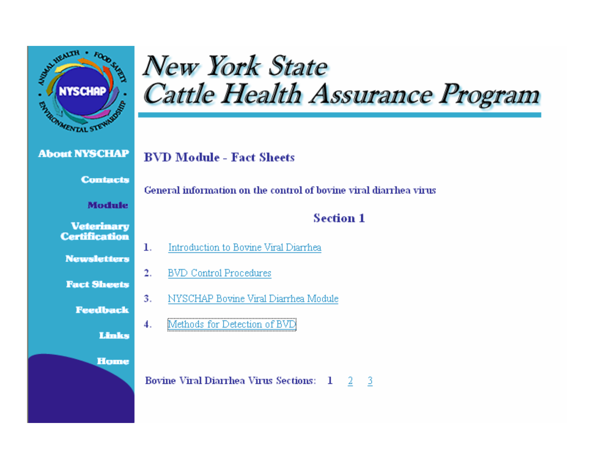

### **New York State** Cattle Health Assurance Program

#### **About NYSCHAP**

#### **BVD Module - Fact Sheets**

#### **Contacts**

#### **Module**

1.

#### **Veterinary Certification**

**Newsletters** 

#### **Fact Sheets**

**Feedback** 

Links

**Home** 

#### General information on the control of boyine viral diarrhea virus

#### **Section 1**

- Introduction to Bovine Viral Diarrhea
- $\overline{2}$ . **BVD** Control Procedures
- $3.$ NYSCHAP Bovine Viral Diarrhea Module
- $\boldsymbol{4}$ . Methods for Detection of BVD

**Bovine Viral Diarrhea Virus Sections: 1** 2 -3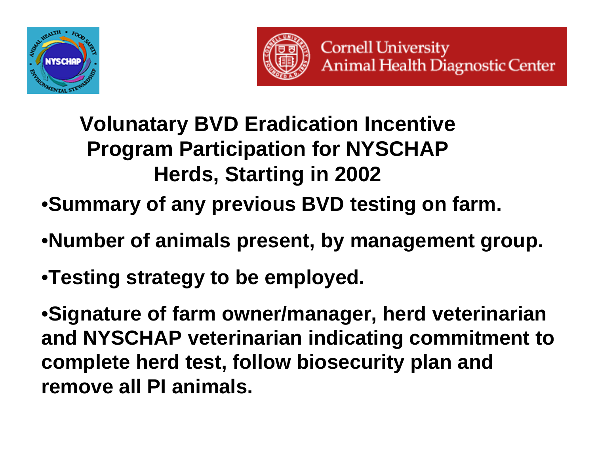



### **Volunatary BVD Eradication Incentive Program Participation for NYSCHAP Herds, Starting in 2002**

- •**Summary of any previous BVD testing on farm.**
- •**Number of animals present, by management group.**
- •**Testing strategy to be employed.**

•**Signature of farm owner/manager, herd veterinarian and NYSCHAP veterinarian indicating commitment to complete herd test, follow biosecurity plan and remove all PI animals.**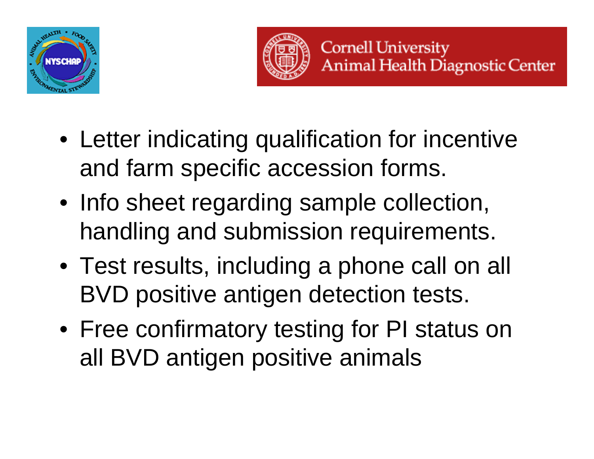



- Letter indicating qualification for incentive and farm specific accession forms.
- Info sheet regarding sample collection, handling and submission requirements.
- Test results, including a phone call on all BVD positive antigen detection tests.
- Free confirmatory testing for PI status on all BVD antigen positive animals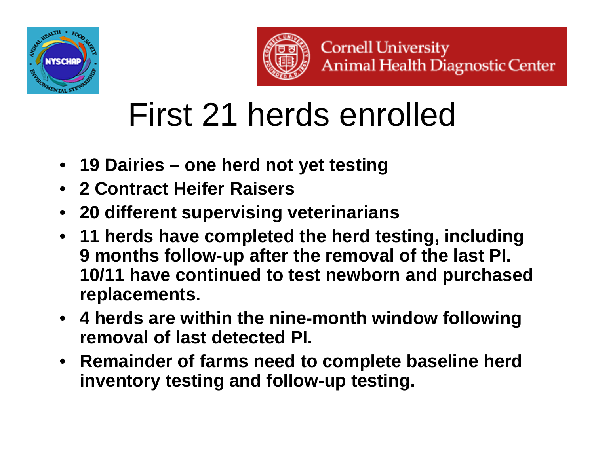



# First 21 herds enrolled

- **19 Dairies – one herd not yet testing**
- **2 Contract Heifer Raisers**
- **20 different supervising veterinarians**
- **11 herds have completed the herd testing, including 9 months follow-up after the removal of the last PI. 10/11 have continued to test newborn and purchased replacements.**
- **4 herds are within the nine-month window following removal of last detected PI.**
- **Remainder of farms need to complete baseline herd inventory testing and follow-up testing.**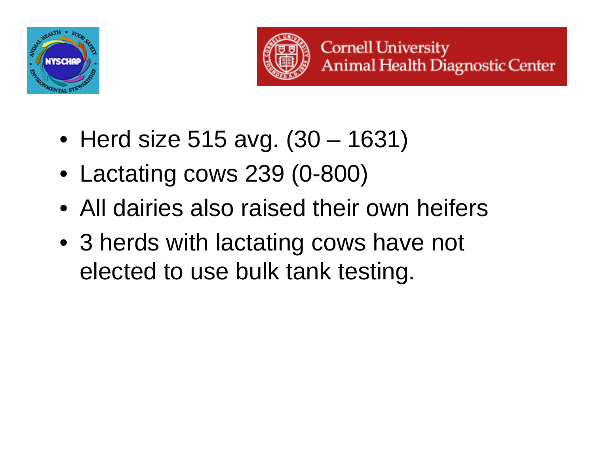



- Herd size 515 avg. (30 1631)
- Lactating cows 239 (0-800)
- All dairies also raised their own heifers
- 3 herds with lactating cows have not elected to use bulk tank testing.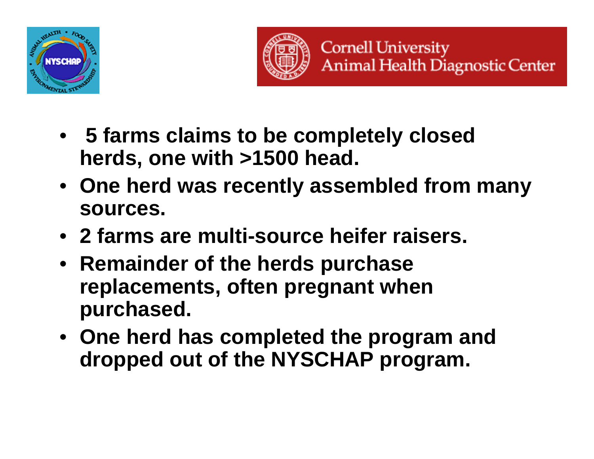



- **5 farms claims to be completely closed herds, one with >1500 head.**
- **One herd was recently assembled from many sources.**
- **2 farms are multi-source heifer raisers.**
- **Remainder of the herds purchase replacements, often pregnant when purchased.**
- **One herd has completed the program and dropped out of the NYSCHAP program.**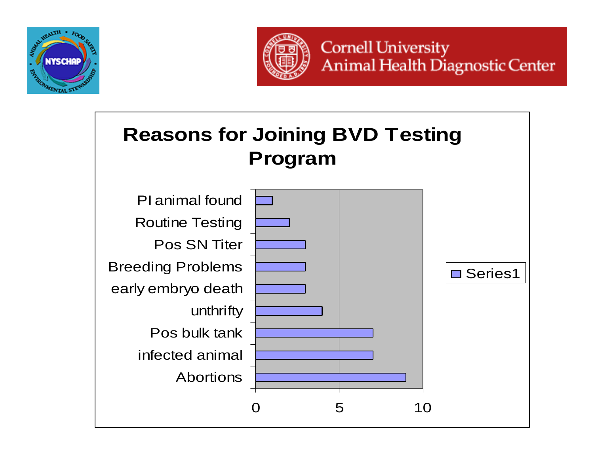



**Cornell University Animal Health Diagnostic Center** 

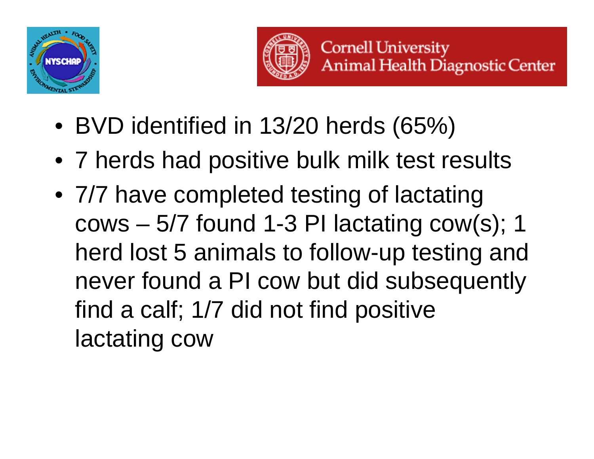



- BVD identified in 13/20 herds (65%)
- 7 herds had positive bulk milk test results
- 7/7 have completed testing of lactating cows – 5/7 found 1-3 PI lactating cow(s); 1 herd lost 5 animals to follow-up testing and never found a PI cow but did subsequently find a calf; 1/7 did not find positive lactating cow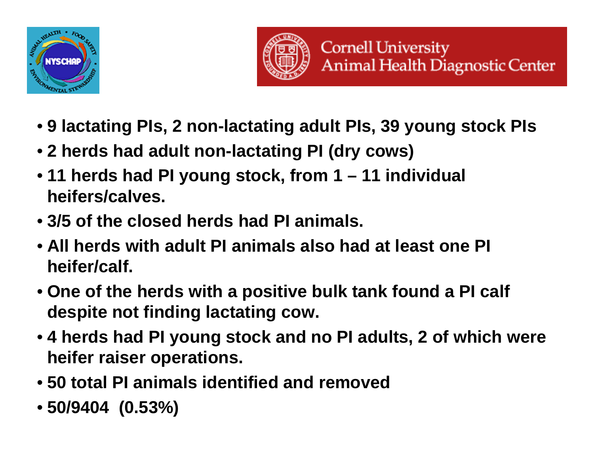



- **9 lactating PIs, 2 non-lactating adult PIs, 39 young stock PIs**
- **2 herds had adult non-lactating PI (dry cows)**
- **11 herds had PI young stock, from 1 – 11 individual heifers/calves.**
- **3/5 of the closed herds had PI animals.**
- **All herds with adult PI animals also had at least one PI heifer/calf.**
- **One of the herds with a positive bulk tank found a PI calf despite not finding lactating cow.**
- **4 herds had PI young stock and no PI adults, 2 of which were heifer raiser operations.**
- **50 total PI animals identified and removed**
- **50/9404 (0.53%)**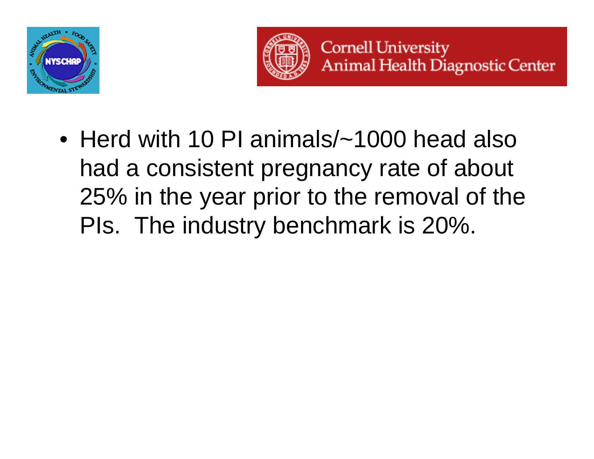



• Herd with 10 PI animals/~1000 head also had a consistent pregnancy rate of about 25% in the year prior to the removal of the PIs. The industry benchmark is 20%.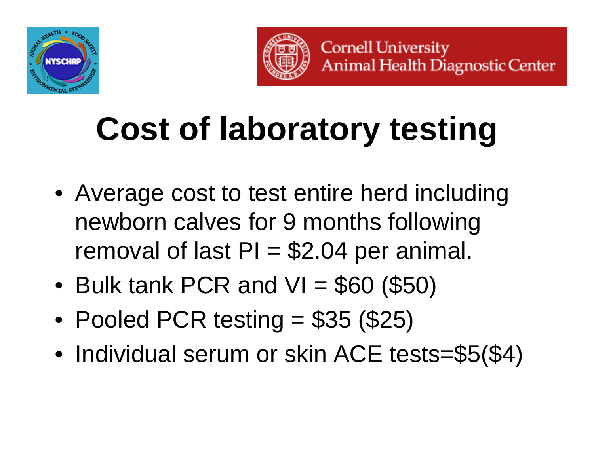



# **Cost of laboratory testing**

- Average cost to test entire herd including newborn calves for 9 months following removal of last  $PI = $2.04$  per animal.
- Bulk tank PCR and VI = \$60 (\$50)
- Pooled PCR testing = \$35 (\$25)
- •• Individual serum or skin ACE tests=\$5(\$4)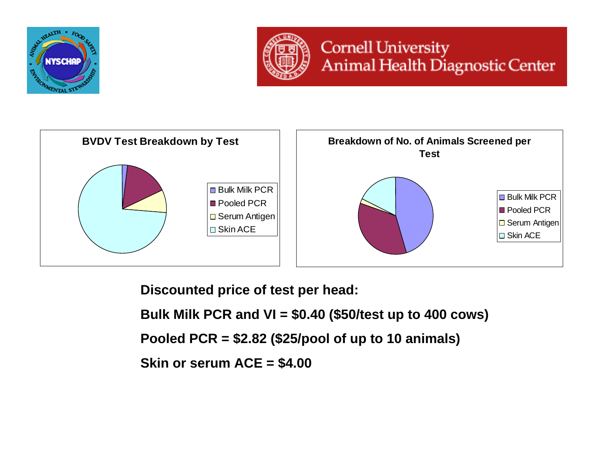



### **Cornell University** Animal Health Diagnostic Center



**Discounted price of test per head:**

**Bulk Milk PCR and VI = \$0.40 (\$50/test up to 400 cows)**

**Pooled PCR = \$2.82 (\$25/pool of up to 10 animals)**

**Skin or serum ACE = \$4.00**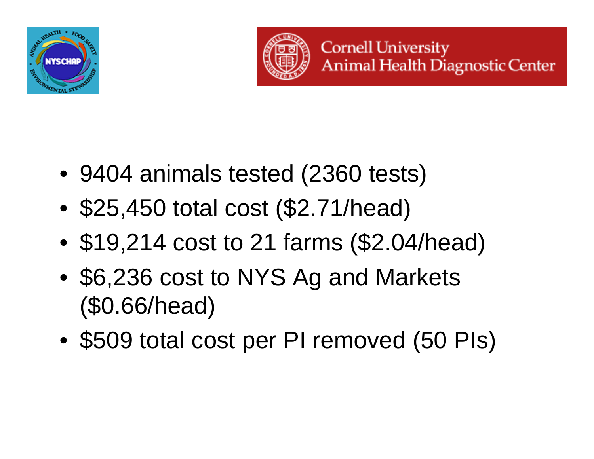



- 9404 animals tested (2360 tests)
- •\$25,450 total cost (\$2.71/head)
- •\$19,214 cost to 21 farms (\$2.04/head)
- • \$6,236 cost to NYS Ag and Markets (\$0.66/head)
- •\$509 total cost per PI removed (50 PIs)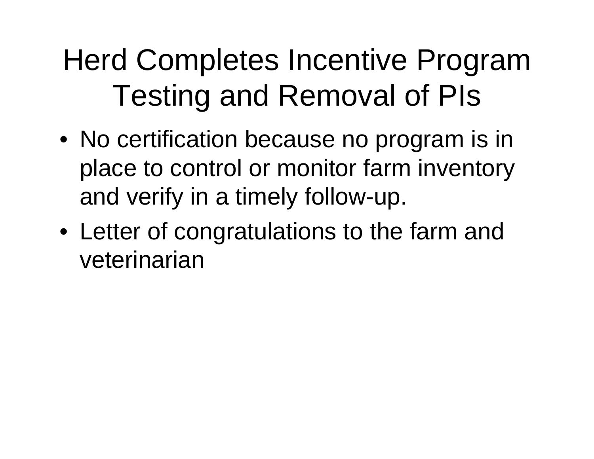## Herd Completes Incentive Program Testing and Removal of PIs

- No certification because no program is in place to control or monitor farm inventory and verify in a timely follow-up.
- Letter of congratulations to the farm and veterinarian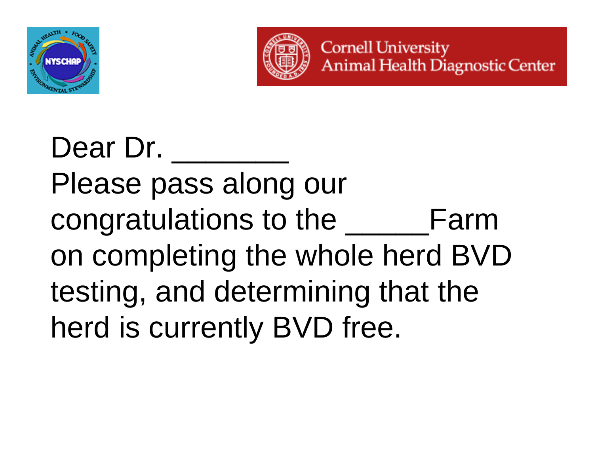



## Dear Dr. Please pass along our congratulations to the \_\_\_\_\_Farm on completing the whole herd BVD testing, and determining that the herd is currently BVD free.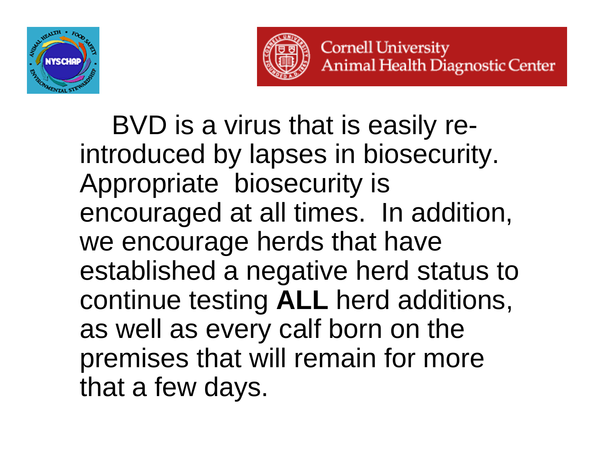



BVD is a virus that is easily reintroduced by lapses in biosecurity. Appropriate biosecurity is encouraged at all times. In addition, we encourage herds that have established a negative herd status to continue testing **ALL** herd additions, as well as every calf born on the premises that will remain for more that a few days.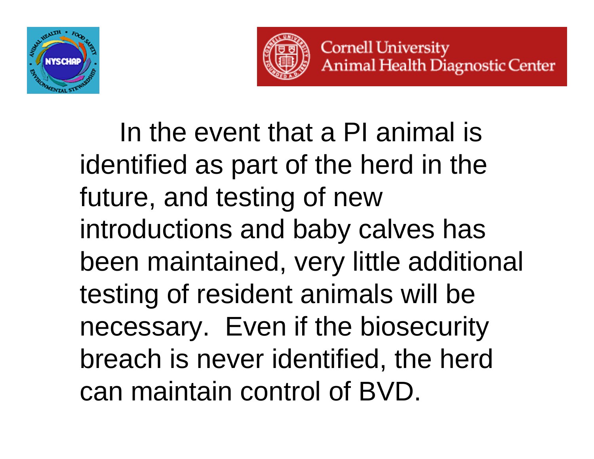



In the event that a PI animal is identified as part of the herd in the future, and testing of new introductions and baby calves has been maintained, very little additional testing of resident animals will be necessary. Even if the biosecurity breach is never identified, the herd can maintain control of BVD.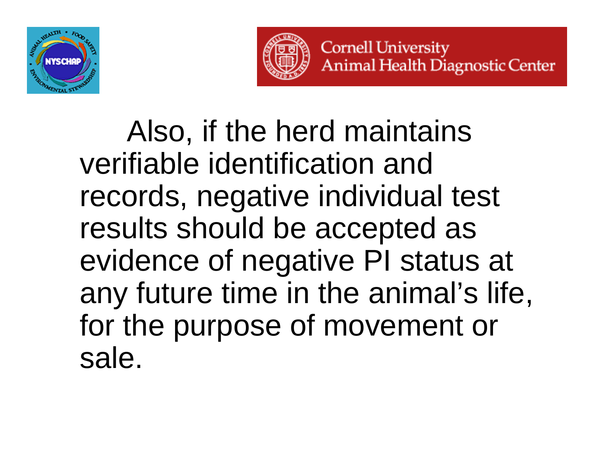



Also, if the herd maintains verifiable identification and records, negative individual test results should be accepted as evidence of negative PI status at any future time in the animal's life, for the purpose of movement or sale.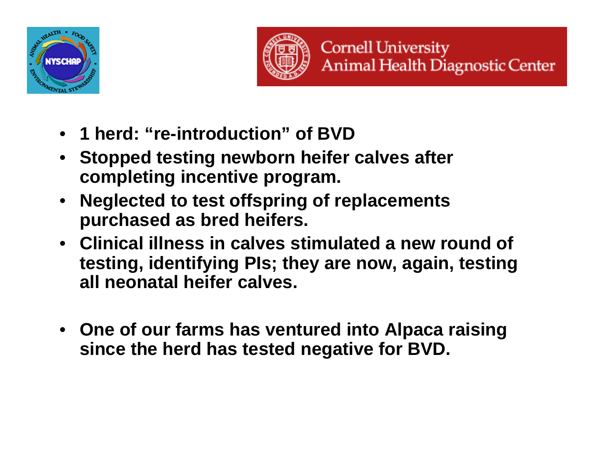



- **1 herd: "re-introduction" of BVD**
- **Stopped testing newborn heifer calves after completing incentive program.**
- **Neglected to test offspring of replacements purchased as bred heifers.**
- **Clinical illness in calves stimulated a new round of testing, identifying PIs; they are now, again, testing all neonatal heifer calves.**
- **One of our farms has ventured into Alpaca raising since the herd has tested negative for BVD.**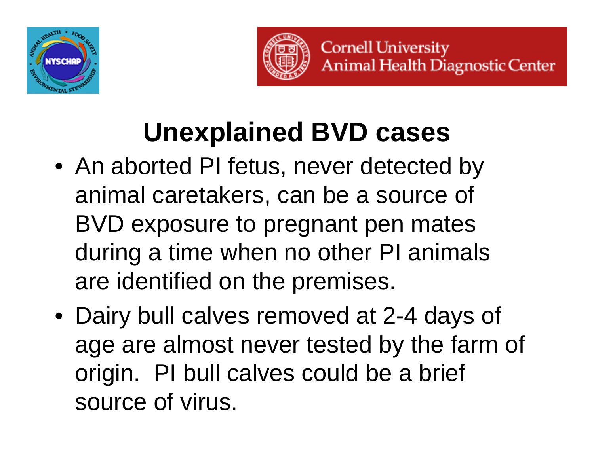



## **Unexplained BVD cases**

- An aborted PI fetus, never detected by animal caretakers, can be a source of BVD exposure to pregnant pen mates during a time when no other PI animals are identified on the premises.
- Dairy bull calves removed at 2-4 days of age are almost never tested by the farm of origin. PI bull calves could be a brief source of virus.